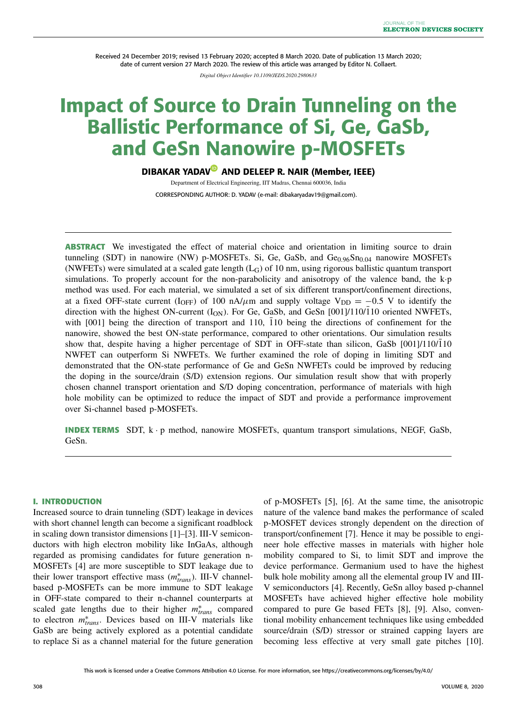Received 24 December 2019; revised 13 February 2020; accepted 8 March 2020. Date of publication 13 March 2020; date of current version 27 March 2020. The review of this article was arranged by Editor N. Collaert.

*Digital Object Identifier 10.1109/JEDS.2020.2980633*

# Impact of Source to Drain Tunneling on the Ballistic Performance of Si, Ge, GaSb, and GeSn Nanowire p-MOSFETs

DIBAKAR YADAV<sup>O</sup> AND DELEEP R. NAIR (Member, IEEE)

Department of Electrical Engineering, IIT Madras, Chennai 600036, India CORRESPONDING AUTHOR: D. YADAV (e-mail: dibakaryadav19@gmail.com).

**ABSTRACT** We investigated the effect of material choice and orientation in limiting source to drain tunneling (SDT) in nanowire (NW) p-MOSFETs. Si, Ge, GaSb, and  $Ge_{0.96}Sn_{0.04}$  nanowire MOSFETs (NWFETs) were simulated at a scaled gate length  $(L_G)$  of 10 nm, using rigorous ballistic quantum transport simulations. To properly account for the non-parabolicity and anisotropy of the valence band, the k·p method was used. For each material, we simulated a set of six different transport/confinement directions, at a fixed OFF-state current ( $I_{\text{OFF}}$ ) of 100 nA/ $\mu$ m and supply voltage V<sub>DD</sub> = −0.5 V to identify the direction with the highest ON-current  $(I_{ON})$ . For Ge, GaSb, and GeSn  $[001]/110/110$  oriented NWFETs, with  $[001]$  being the direction of transport and 110, 110 being the directions of confinement for the nanowire, showed the best ON-state performance, compared to other orientations. Our simulation results show that, despite having a higher percentage of SDT in OFF-state than silicon, GaSb [001]/110/110 NWFET can outperform Si NWFETs. We further examined the role of doping in limiting SDT and demonstrated that the ON-state performance of Ge and GeSn NWFETs could be improved by reducing the doping in the source/drain (S/D) extension regions. Our simulation result show that with properly chosen channel transport orientation and S/D doping concentration, performance of materials with high hole mobility can be optimized to reduce the impact of SDT and provide a performance improvement over Si-channel based p-MOSFETs.

**INDEX TERMS** SDT, k · p method, nanowire MOSFETs, quantum transport simulations, NEGF, GaSb, GeSn.

# **I. INTRODUCTION**

Increased source to drain tunneling (SDT) leakage in devices with short channel length can become a significant roadblock in scaling down transistor dimensions [1]–[3]. III-V semiconductors with high electron mobility like InGaAs, although regarded as promising candidates for future generation n-MOSFETs [4] are more susceptible to SDT leakage due to their lower transport effective mass  $(m_{trans}^*)$ . III-V channelbased p-MOSFETs can be more immune to SDT leakage in OFF-state compared to their n-channel counterparts at scaled gate lengths due to their higher  $m^*_{trans}$  compared to electron  $m_{trans}^*$ . Devices based on III-V materials like GaSb are being actively explored as a potential candidate to replace Si as a channel material for the future generation of p-MOSFETs [5], [6]. At the same time, the anisotropic nature of the valence band makes the performance of scaled p-MOSFET devices strongly dependent on the direction of transport/confinement [7]. Hence it may be possible to engineer hole effective masses in materials with higher hole mobility compared to Si, to limit SDT and improve the device performance. Germanium used to have the highest bulk hole mobility among all the elemental group IV and III-V semiconductors [4]. Recently, GeSn alloy based p-channel MOSFETs have achieved higher effective hole mobility compared to pure Ge based FETs [8], [9]. Also, conventional mobility enhancement techniques like using embedded source/drain (S/D) stressor or strained capping layers are becoming less effective at very small gate pitches [10].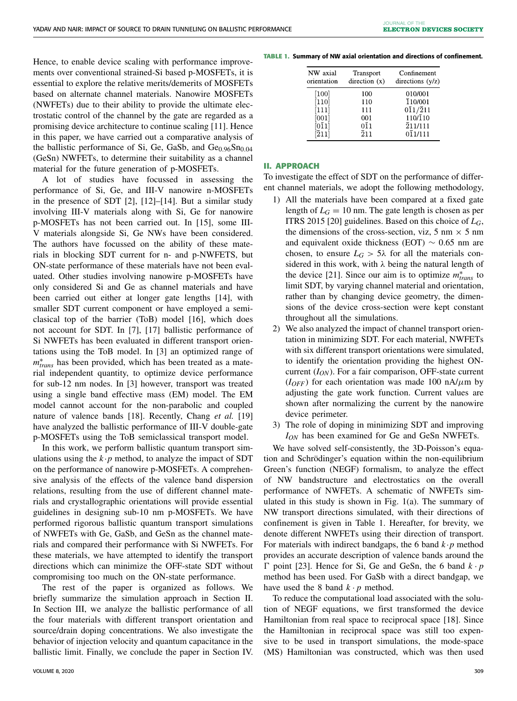Hence, to enable device scaling with performance improvements over conventional strained-Si based p-MOSFETs, it is essential to explore the relative merits/demerits of MOSFETs based on alternate channel materials. Nanowire MOSFETs (NWFETs) due to their ability to provide the ultimate electrostatic control of the channel by the gate are regarded as a promising device architecture to continue scaling [11]. Hence in this paper, we have carried out a comparative analysis of the ballistic performance of Si, Ge, GaSb, and  $Ge<sub>0.96</sub>Sn<sub>0.04</sub>$ (GeSn) NWFETs, to determine their suitability as a channel material for the future generation of p-MOSFETs.

A lot of studies have focussed in assessing the performance of Si, Ge, and III-V nanowire n-MOSFETs in the presence of SDT [2], [12]–[14]. But a similar study involving III-V materials along with Si, Ge for nanowire p-MOSFETs has not been carried out. In [15], some III-V materials alongside Si, Ge NWs have been considered. The authors have focussed on the ability of these materials in blocking SDT current for n- and p-NWFETS, but ON-state performance of these materials have not been evaluated. Other studies involving nanowire p-MOSFETs have only considered Si and Ge as channel materials and have been carried out either at longer gate lengths [14], with smaller SDT current component or have employed a semiclasical top of the barrier (ToB) model [16], which does not account for SDT. In [7], [17] ballistic performance of Si NWFETs has been evaluated in different transport orientations using the ToB model. In [3] an optimized range of *m*<sup>∗</sup><sub>*trans*</sub> has been provided, which has been treated as a material independent quantity, to optimize device performance for sub-12 nm nodes. In [3] however, transport was treated using a single band effective mass (EM) model. The EM model cannot account for the non-parabolic and coupled nature of valence bands [18]. Recently, Chang *et al.* [19] have analyzed the ballistic performance of III-V double-gate p-MOSFETs using the ToB semiclassical transport model.

In this work, we perform ballistic quantum transport simulations using the  $k \cdot p$  method, to analyze the impact of SDT on the performance of nanowire p-MOSFETs. A comprehensive analysis of the effects of the valence band dispersion relations, resulting from the use of different channel materials and crystallographic orientations will provide essential guidelines in designing sub-10 nm p-MOSFETs. We have performed rigorous ballistic quantum transport simulations of NWFETs with Ge, GaSb, and GeSn as the channel materials and compared their performance with Si NWFETs. For these materials, we have attempted to identify the transport directions which can minimize the OFF-state SDT without compromising too much on the ON-state performance.

The rest of the paper is organized as follows. We briefly summarize the simulation approach in Section II. In Section III, we analyze the ballistic performance of all the four materials with different transport orientation and source/drain doping concentrations. We also investigate the behavior of injection velocity and quantum capacitance in the ballistic limit. Finally, we conclude the paper in Section IV.

#### **TABLE 1.** Summary of NW axial orientation and directions of confinement.

| NW axial                   | <b>Transport</b>                                                 | Confinement                                                    |
|----------------------------|------------------------------------------------------------------|----------------------------------------------------------------|
| orientation                | direction $(x)$                                                  | directions $(y/z)$                                             |
| [100]<br>110<br>111<br>001 | 100<br>110<br>111<br>001<br>$0\overline{1}1$<br>$\overline{2}11$ | 010/001<br>110/001<br>011/211<br>110/110<br>211/111<br>011/111 |

# **II. APPROACH**

To investigate the effect of SDT on the performance of different channel materials, we adopt the following methodology,

- 1) All the materials have been compared at a fixed gate length of  $L_G = 10$  nm. The gate length is chosen as per ITRS 2015 [20] guidelines. Based on this choice of *LG*, the dimensions of the cross-section, viz, 5 nm  $\times$  5 nm and equivalent oxide thickness (EOT)  $\sim 0.65$  nm are chosen, to ensure  $L_G > 5\lambda$  for all the materials considered in this work, with  $\lambda$  being the natural length of the device [21]. Since our aim is to optimize  $m^*_{trans}$  to limit SDT, by varying channel material and orientation, rather than by changing device geometry, the dimensions of the device cross-section were kept constant throughout all the simulations.
- 2) We also analyzed the impact of channel transport orientation in minimizing SDT. For each material, NWFETs with six different transport orientations were simulated, to identify the orientation providing the highest ONcurrent (*ION*). For a fair comparison, OFF-state current  $(I<sub>OFF</sub>)$  for each orientation was made 100 nA/ $\mu$ m by adjusting the gate work function. Current values are shown after normalizing the current by the nanowire device perimeter.
- 3) The role of doping in minimizing SDT and improving *ION* has been examined for Ge and GeSn NWFETs.

We have solved self-consistently, the 3D-Poisson's equation and Schrödinger's equation within the non-equilibrium Green's function (NEGF) formalism, to analyze the effect of NW bandstructure and electrostatics on the overall performance of NWFETs. A schematic of NWFETs simulated in this study is shown in Fig. 1(a). The summary of NW transport directions simulated, with their directions of confinement is given in Table 1. Hereafter, for brevity, we denote different NWFETs using their direction of transport. For materials with indirect bandgaps, the 6 band  $k \cdot p$  method provides an accurate description of valence bands around the  $\Gamma$  point [23]. Hence for Si, Ge and GeSn, the 6 band  $k \cdot p$ method has been used. For GaSb with a direct bandgap, we have used the 8 band  $k \cdot p$  method.

To reduce the computational load associated with the solution of NEGF equations, we first transformed the device Hamiltonian from real space to reciprocal space [18]. Since the Hamiltonian in reciprocal space was still too expensive to be used in transport simulations, the mode-space (MS) Hamiltonian was constructed, which was then used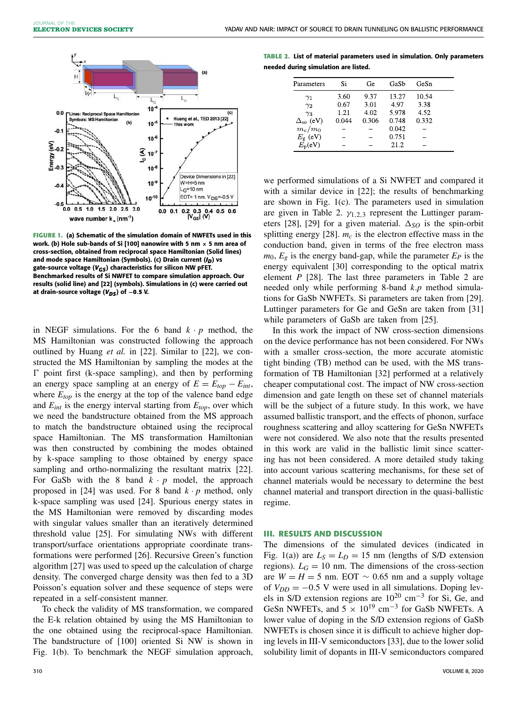

**FIGURE 1.** (a) Schematic of the simulation domain of NWFETs used in this work. (b) Hole sub-bands of Si [100] nanowire with 5 nm  $\times$  5 nm area of cross-section, obtained from reciprocal space Hamiltonian (Solid lines) and mode space Hamiltonian (Symbols). (c) Drain current ( $I_D$ ) vs gate-source voltage (*VGS*) characteristics for silicon NW pFET. Benchmarked results of Si NWFET to compare simulation approach. Our results (solid line) and [22] (symbols). Simulations in (c) were carried out at drain-source voltage (*VDS*) of −**0**.**5** V.

in NEGF simulations. For the 6 band  $k \cdot p$  method, the MS Hamiltonian was constructed following the approach outlined by Huang *et al.* in [22]. Similar to [22], we constructed the MS Hamiltonian by sampling the modes at the  $\Gamma$  point first (k-space sampling), and then by performing an energy space sampling at an energy of  $E = E_{top} - E_{int}$ , where *Etop* is the energy at the top of the valence band edge and  $E_{int}$  is the energy interval starting from  $E_{top}$ , over which we need the bandstructure obtained from the MS approach to match the bandstructure obtained using the reciprocal space Hamiltonian. The MS transformation Hamiltonian was then constructed by combining the modes obtained by k-space sampling to those obtained by energy space sampling and ortho-normalizing the resultant matrix [22]. For GaSb with the 8 band  $k \cdot p$  model, the approach proposed in [24] was used. For 8 band  $k \cdot p$  method, only k-space sampling was used [24]. Spurious energy states in the MS Hamiltonian were removed by discarding modes with singular values smaller than an iteratively determined threshold value [25]. For simulating NWs with different transport/surface orientations appropriate coordinate transformations were performed [26]. Recursive Green's function algorithm [27] was used to speed up the calculation of charge density. The converged charge density was then fed to a 3D Poisson's equation solver and these sequence of steps were repeated in a self-consistent manner.

To check the validity of MS transformation, we compared the E-k relation obtained by using the MS Hamiltonian to the one obtained using the reciprocal-space Hamiltonian. The bandstructure of [100] oriented Si NW is shown in Fig. 1(b). To benchmark the NEGF simulation approach,

|                                      | TABLE 2. List of material parameters used in simulation. Only parameters |  |
|--------------------------------------|--------------------------------------------------------------------------|--|
| needed during simulation are listed. |                                                                          |  |

| Parameters         | Si    | Ge    | GaSb  | GeSn  |
|--------------------|-------|-------|-------|-------|
| $\gamma_1$         | 3.60  | 9.37  | 13.27 | 10.54 |
| $\gamma_2$         | 0.67  | 3.01  | 4.97  | 3.38  |
| $\gamma_3$         | 1.21  | 4.02  | 5.978 | 4.52  |
| $\Delta_{so}$ (eV) | 0.044 | 0.306 | 0.748 | 0.332 |
| $m_c/m_0$          |       |       | 0.042 |       |
| $E_{\rm g}$ (eV)   |       |       | 0.751 |       |
| $E_p(eV)$          |       |       | 21.2  |       |

we performed simulations of a Si NWFET and compared it with a similar device in [22]; the results of benchmarking are shown in Fig. 1(c). The parameters used in simulation are given in Table 2.  $\gamma_{1,2,3}$  represent the Luttinger parameters [28], [29] for a given material.  $\Delta_{SO}$  is the spin-orbit splitting energy [28].  $m_c$  is the electron effective mass in the conduction band, given in terms of the free electron mass  $m_0$ ,  $E_g$  is the energy band-gap, while the parameter  $E_p$  is the energy equivalent [30] corresponding to the optical matrix element *P* [28]. The last three parameters in Table 2 are needed only while performing 8-band *k*.*p* method simulations for GaSb NWFETs. Si parameters are taken from [29]. Luttinger parameters for Ge and GeSn are taken from [31] while parameters of GaSb are taken from [25].

In this work the impact of NW cross-section dimensions on the device performance has not been considered. For NWs with a smaller cross-section, the more accurate atomistic tight binding (TB) method can be used, with the MS transformation of TB Hamiltonian [32] performed at a relatively cheaper computational cost. The impact of NW cross-section dimension and gate length on these set of channel materials will be the subject of a future study. In this work, we have assumed ballistic transport, and the effects of phonon, surface roughness scattering and alloy scattering for GeSn NWFETs were not considered. We also note that the results presented in this work are valid in the ballistic limit since scattering has not been considered. A more detailed study taking into account various scattering mechanisms, for these set of channel materials would be necessary to determine the best channel material and transport direction in the quasi-ballistic regime.

### **III. RESULTS AND DISCUSSION**

The dimensions of the simulated devices (indicated in Fig. 1(a)) are  $L_S = L_D = 15$  nm (lengths of S/D extension regions).  $L_G = 10$  nm. The dimensions of the cross-section are  $W = H = 5$  nm. EOT  $\sim 0.65$  nm and a supply voltage of  $V_{DD} = -0.5$  V were used in all simulations. Doping levels in S/D extension regions are  $10^{20}$  cm<sup>-3</sup> for Si, Ge, and GeSn NWFETs, and  $5 \times 10^{19}$  cm<sup>-3</sup> for GaSb NWFETs. A lower value of doping in the S/D extension regions of GaSb NWFETs is chosen since it is difficult to achieve higher doping levels in III-V semiconductors [33], due to the lower solid solubility limit of dopants in III-V semiconductors compared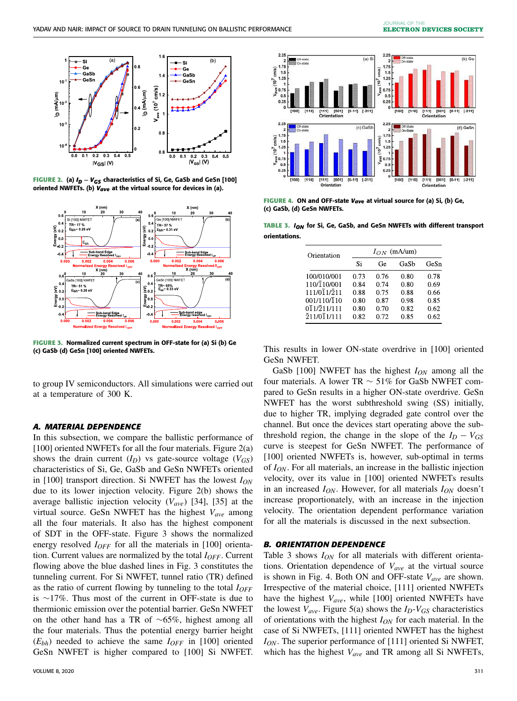

**FIGURE 2.** (a) *I<sup>D</sup>* − *VGS* characteristics of Si, Ge, GaSb and GeSn [100] oriented NWFETs. (b) *Vave* at the virtual source for devices in (a).



**FIGURE 3.** Normalized current spectrum in OFF-state for (a) Si (b) Ge (c) GaSb (d) GeSn [100] oriented NWFETs.

to group IV semiconductors. All simulations were carried out at a temperature of 300 K.

## *A. MATERIAL DEPENDENCE*

In this subsection, we compare the ballistic performance of  $[100]$  oriented NWFETs for all the four materials. Figure 2(a) shows the drain current  $(I_D)$  vs gate-source voltage  $(V_{GS})$ characteristics of Si, Ge, GaSb and GeSn NWFETs oriented in [100] transport direction. Si NWFET has the lowest *ION* due to its lower injection velocity. Figure 2(b) shows the average ballistic injection velocity (*Vave*) [34], [35] at the virtual source. GeSn NWFET has the highest *Vave* among all the four materials. It also has the highest component of SDT in the OFF-state. Figure 3 shows the normalized energy resolved *I<sub>OFF</sub>* for all the materials in [100] orientation. Current values are normalized by the total *IOFF*. Current flowing above the blue dashed lines in Fig. 3 constitutes the tunneling current. For Si NWFET, tunnel ratio (TR) defined as the ratio of current flowing by tunneling to the total *IOFF* is ∼17%. Thus most of the current in OFF-state is due to thermionic emission over the potential barrier. GeSn NWFET on the other hand has a TR of ∼65%, highest among all the four materials. Thus the potential energy barrier height (*Ebh*) needed to achieve the same *IOFF* in [100] oriented GeSn NWFET is higher compared to [100] Si NWFET.



**FIGURE 4.** ON and OFF-state *Vave* at virtual source for (a) Si, (b) Ge, (c) GaSb, (d) GeSn NWFETs.

**TABLE 3.** *ION* for Si, Ge, GaSb, and GeSn NWFETs with different transport orientations.

| Orientation                            | $I_{ON}$ (mA/um) |      |      |      |  |
|----------------------------------------|------------------|------|------|------|--|
|                                        | Si               | Ge.  | GaSh | GeSn |  |
| 100/010/001                            | 0.73             | 0.76 | 0.80 | 0.78 |  |
| 110/110/001                            | 0.84             | 0.74 | 0.80 | 0.69 |  |
| $111/0$ $\overline{1}1/\overline{2}11$ | 0.88             | 0.75 | 0.88 | 0.66 |  |
| $001/110/\overline{1}10$               | 0.80             | 0.87 | 0.98 | 0.85 |  |
| $0\overline{1}1/\overline{2}11/111$    | 0.80             | 0.70 | 0.82 | 0.62 |  |
| $\overline{2}11/0\overline{1}1/111$    | 0.82             | 0.72 | 0.85 | 0.62 |  |

This results in lower ON-state overdrive in [100] oriented GeSn NWFET.

GaSb [100] NWFET has the highest *ION* among all the four materials. A lower TR ∼ 51% for GaSb NWFET compared to GeSn results in a higher ON-state overdrive. GeSn NWFET has the worst subthreshold swing (SS) initially, due to higher TR, implying degraded gate control over the channel. But once the devices start operating above the subthreshold region, the change in the slope of the  $I_D - V_{GS}$ curve is steepest for GeSn NWFET. The performance of [100] oriented NWFETs is, however, sub-optimal in terms of *ION*. For all materials, an increase in the ballistic injection velocity, over its value in [100] oriented NWFETs results in an increased *ION*. However, for all materials *ION* doesn't increase proportionately, with an increase in the injection velocity. The orientation dependent performance variation for all the materials is discussed in the next subsection.

#### *B. ORIENTATION DEPENDENCE*

Table 3 shows *ION* for all materials with different orientations. Orientation dependence of *Vave* at the virtual source is shown in Fig. 4. Both ON and OFF-state *Vave* are shown. Irrespective of the material choice, [111] oriented NWFETs have the highest *Vave*, while [100] oriented NWFETs have the lowest  $V_{ave}$ . Figure 5(a) shows the  $I_D$ - $V_{GS}$  characteristics of orientations with the highest *ION* for each material. In the case of Si NWFETs, [111] oriented NWFET has the highest *ION*. The superior performance of [111] oriented Si NWFET, which has the highest *Vave* and TR among all Si NWFETs,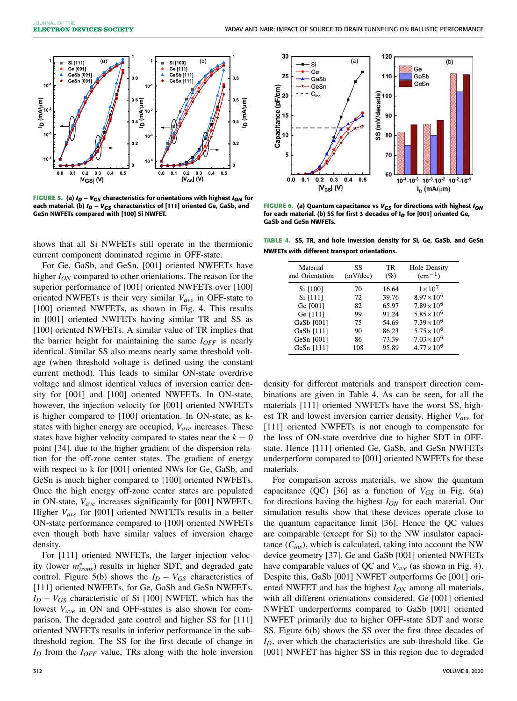

**FIGURE 5.** (a) *I<sup>D</sup>* − *VGS* characteristics for orientations with highest *ION* for each material. (b) *I<sup>D</sup>* − *VGS* characteristics of [111] oriented Ge, GaSb, and GeSn NWFETs compared with [100] Si NWFET.

shows that all Si NWFETs still operate in the thermionic current component dominated regime in OFF-state.

For Ge, GaSb, and GeSn, [001] oriented NWFETs have higher *ION* compared to other orientations. The reason for the superior performance of [001] oriented NWFETs over [100] oriented NWFETs is their very similar *Vave* in OFF-state to [100] oriented NWFETs, as shown in Fig. 4. This results in [001] oriented NWFETs having similar TR and SS as [100] oriented NWFETs. A similar value of TR implies that the barrier height for maintaining the same *IOFF* is nearly identical. Similar SS also means nearly same threshold voltage (when threshold voltage is defined using the constant current method). This leads to similar ON-state overdrive voltage and almost identical values of inversion carrier density for [001] and [100] oriented NWFETs. In ON-state, however, the injection velocity for [001] oriented NWFETs is higher compared to [100] orientation. In ON-state, as kstates with higher energy are occupied, *Vave* increases. These states have higher velocity compared to states near the  $k = 0$ point [34], due to the higher gradient of the dispersion relation for the off-zone center states. The gradient of energy with respect to k for [001] oriented NWs for Ge, GaSb, and GeSn is much higher compared to [100] oriented NWFETs. Once the high energy off-zone center states are populated in ON-state, *Vave* increases significantly for [001] NWFETs. Higher *Vave* for [001] oriented NWFETs results in a better ON-state performance compared to [100] oriented NWFETs even though both have similar values of inversion charge density.

For [111] oriented NWFETs, the larger injection velocity (lower *m* ∗ *trans*) results in higher SDT, and degraded gate control. Figure 5(b) shows the  $I_D - V_{GS}$  characteristics of [111] oriented NWFETs, for Ge, GaSb and GeSn NWFETs. *I<sup>D</sup>* − *VGS* characteristic of Si [100] NWFET, which has the lowest *Vave* in ON and OFF-states is also shown for comparison. The degraded gate control and higher SS for [111] oriented NWFETs results in inferior performance in the subthreshold region. The SS for the first decade of change in *I<sup>D</sup>* from the *IOFF* value, TRs along with the hole inversion



**FIGURE 6.** (a) Quantum capacitance vs *VGS* for directions with highest *ION* for each material. (b) SS for first 3 decades of I*D* for [001] oriented Ge, GaSb and GeSn NWFETs.

**TABLE 4.** SS, TR, and hole inversion density for Si, Ge, GaSb, and GeSn NWFETs with different transport orientations.

| Material<br>and Orientation | SS       | TR     | Hole Density<br>$\rm (cm^{-1})$ |
|-----------------------------|----------|--------|---------------------------------|
|                             | (mV/dec) | $(\%)$ |                                 |
| Si [100]                    | 70       | 16.64  | $1\times10^7$                   |
| Si [111]                    | 72       | 39.76  | $8.97\times10^{6}$              |
| Ge [001]                    | 82       | 65.97  | $7.89\times10^{6}$              |
| Ge [111]                    | 99       | 91.24  | $5.85 \times 10^6$              |
| GaSb [001]                  | 75       | 54.69  | $7.39\times10^{6}$              |
| GaSb [111]                  | 90       | 86.23  | $5.75 \times 10^{6}$            |
| GeSn [001]                  | 86       | 73.39  | $7.03\times10^{6}$              |
| GeSn [111]                  | 108      | 95.89  | $4.77 \times 10^6$              |

density for different materials and transport direction combinations are given in Table 4. As can be seen, for all the materials [111] oriented NWFETs have the worst SS, highest TR and lowest inversion carrier density. Higher *Vave* for [111] oriented NWFETs is not enough to compensate for the loss of ON-state overdrive due to higher SDT in OFFstate. Hence [111] oriented Ge, GaSb, and GeSn NWFETs underperform compared to [001] oriented NWFETs for these materials.

For comparison across materials, we show the quantum capacitance (QC) [36] as a function of  $V_{GS}$  in Fig. 6(a) for directions having the highest *ION* for each material. Our simulation results show that these devices operate close to the quantum capacitance limit [36]. Hence the QC values are comparable (except for Si) to the NW insulator capacitance (*Cins*), which is calculated, taking into account the NW device geometry [37]. Ge and GaSb [001] oriented NWFETs have comparable values of QC and *Vave* (as shown in Fig. 4). Despite this, GaSb [001] NWFET outperforms Ge [001] oriented NWFET and has the highest *ION* among all materials, with all different orientations considered. Ge [001] oriented NWFET underperforms compared to GaSb [001] oriented NWFET primarily due to higher OFF-state SDT and worse SS. Figure 6(b) shows the SS over the first three decades of *ID*, over which the characteristics are sub-threshold like. Ge [001] NWFET has higher SS in this region due to degraded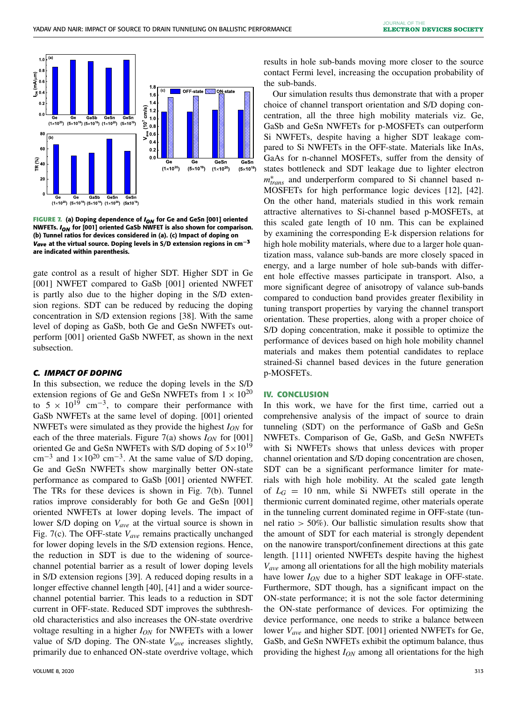

**FIGURE 7.** (a) Doping dependence of *ION* for Ge and GeSn [001] oriented NWFETs. *ION* for [001] oriented GaSb NWFET is also shown for comparison. (b) Tunnel ratios for devices considered in (a). (c) Impact of doping on *<sup>V</sup>ave* at the virtual source. Doping levels in S/D extension regions in cm−**<sup>3</sup>** are indicated within parenthesis.

gate control as a result of higher SDT. Higher SDT in Ge [001] NWFET compared to GaSb [001] oriented NWFET is partly also due to the higher doping in the S/D extension regions. SDT can be reduced by reducing the doping concentration in S/D extension regions [38]. With the same level of doping as GaSb, both Ge and GeSn NWFETs outperform [001] oriented GaSb NWFET, as shown in the next subsection.

# *C. IMPACT OF DOPING*

In this subsection, we reduce the doping levels in the S/D extension regions of Ge and GeSn NWFETs from  $1 \times 10^{20}$ to  $5 \times 10^{19}$  cm<sup>-3</sup>, to compare their performance with GaSb NWFETs at the same level of doping. [001] oriented NWFETs were simulated as they provide the highest *ION* for each of the three materials. Figure 7(a) shows *ION* for [001] oriented Ge and GeSn NWFETs with S/D doping of  $5 \times 10^{19}$ cm<sup>-3</sup> and  $1 \times 10^{20}$  cm<sup>-3</sup>. At the same value of S/D doping, Ge and GeSn NWFETs show marginally better ON-state performance as compared to GaSb [001] oriented NWFET. The TRs for these devices is shown in Fig. 7(b). Tunnel ratios improve considerably for both Ge and GeSn [001] oriented NWFETs at lower doping levels. The impact of lower S/D doping on *Vave* at the virtual source is shown in Fig. 7(c). The OFF-state *Vave* remains practically unchanged for lower doping levels in the S/D extension regions. Hence, the reduction in SDT is due to the widening of sourcechannel potential barrier as a result of lower doping levels in S/D extension regions [39]. A reduced doping results in a longer effective channel length [40], [41] and a wider sourcechannel potential barrier. This leads to a reduction in SDT current in OFF-state. Reduced SDT improves the subthreshold characteristics and also increases the ON-state overdrive voltage resulting in a higher *ION* for NWFETs with a lower value of S/D doping. The ON-state *Vave* increases slightly, primarily due to enhanced ON-state overdrive voltage, which

results in hole sub-bands moving more closer to the source contact Fermi level, increasing the occupation probability of the sub-bands.

Our simulation results thus demonstrate that with a proper choice of channel transport orientation and S/D doping concentration, all the three high mobility materials viz. Ge, GaSb and GeSn NWFETs for p-MOSFETs can outperform Si NWFETs, despite having a higher SDT leakage compared to Si NWFETs in the OFF-state. Materials like InAs, GaAs for n-channel MOSFETs, suffer from the density of states bottleneck and SDT leakage due to lighter electron  $m^*$ <sub>trans</sub> and underperform compared to Si channel based n-MOSFETs for high performance logic devices [12], [42]. On the other hand, materials studied in this work remain attractive alternatives to Si-channel based p-MOSFETs, at this scaled gate length of 10 nm. This can be explained by examining the corresponding E-k dispersion relations for high hole mobility materials, where due to a larger hole quantization mass, valance sub-bands are more closely spaced in energy, and a large number of hole sub-bands with different hole effective masses participate in transport. Also, a more significant degree of anisotropy of valance sub-bands compared to conduction band provides greater flexibility in tuning transport properties by varying the channel transport orientation. These properties, along with a proper choice of S/D doping concentration, make it possible to optimize the performance of devices based on high hole mobility channel materials and makes them potential candidates to replace strained-Si channel based devices in the future generation p-MOSFETs.

#### **IV. CONCLUSION**

In this work, we have for the first time, carried out a comprehensive analysis of the impact of source to drain tunneling (SDT) on the performance of GaSb and GeSn NWFETs. Comparison of Ge, GaSb, and GeSn NWFETs with Si NWFETs shows that unless devices with proper channel orientation and S/D doping concentration are chosen, SDT can be a significant performance limiter for materials with high hole mobility. At the scaled gate length of  $L_G = 10$  nm, while Si NWFETs still operate in the thermionic current dominated regime, other materials operate in the tunneling current dominated regime in OFF-state (tunnel ratio  $> 50\%$ ). Our ballistic simulation results show that the amount of SDT for each material is strongly dependent on the nanowire transport/confinement directions at this gate length. [111] oriented NWFETs despite having the highest *Vave* among all orientations for all the high mobility materials have lower *ION* due to a higher SDT leakage in OFF-state. Furthermore, SDT though, has a significant impact on the ON-state performance; it is not the sole factor determining the ON-state performance of devices. For optimizing the device performance, one needs to strike a balance between lower *Vave* and higher SDT. [001] oriented NWFETs for Ge, GaSb, and GeSn NWFETs exhibit the optimum balance, thus providing the highest *ION* among all orientations for the high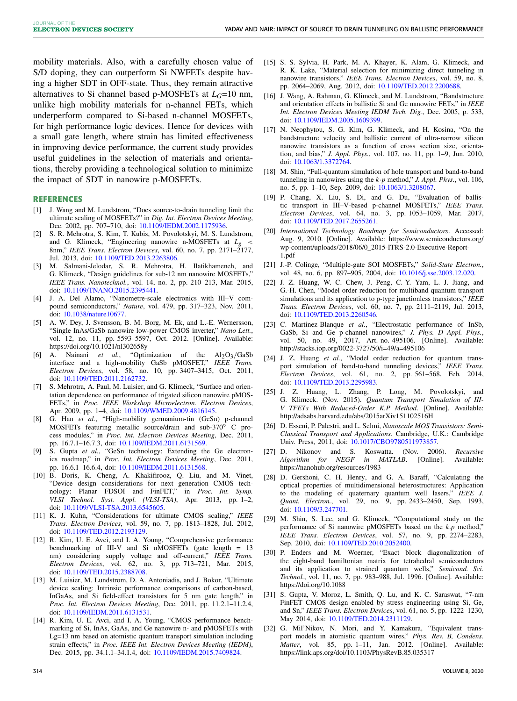mobility materials. Also, with a carefully chosen value of S/D doping, they can outperform Si NWFETs despite having a higher SDT in OFF-state. Thus, they remain attractive alternatives to Si channel based p-MOSFETs at  $L<sub>G</sub>=10$  nm, unlike high mobility materials for n-channel FETs, which underperform compared to Si-based n-channel MOSFETs, for high performance logic devices. Hence for devices with a small gate length, where strain has limited effectiveness in improving device performance, the current study provides useful guidelines in the selection of materials and orientations, thereby providing a technological solution to minimize the impact of SDT in nanowire p-MOSFETs.

#### **REFERENCES**

- [1] J. Wang and M. Lundstrom, "Does source-to-drain tunneling limit the ultimate scaling of MOSFETs?" in *Dig. Int. Electron Devices Meeting*, Dec. 2002, pp. 707–710, doi: 10.1109/IEDM.2002.1175936.
- [2] S. R. Mehrotra, S. Kim, T. Kubis, M. Povolotskyi, M. S. Lundstrom, and G. Klimeck, "Engineering nanowire n-MOSFETs at *Lg* < 8nm," *IEEE Trans. Electron Devices*, vol. 60, no. 7, pp. 2171–2177, Jul. 2013, doi: 10.1109/TED.2013.2263806.
- [3] M. Salmani-Jelodar, S. R. Mehrotra, H. Ilatikhameneh, and G. Klimeck, "Design guidelines for sub-12 nm nanowire MOSFETs," *IEEE Trans. Nanotechnol.*, vol. 14, no. 2, pp. 210–213, Mar. 2015, doi: 10.1109/TNANO.2015.2395441.
- [4] J. A. Del Alamo, "Nanometre-scale electronics with III–V compound semiconductors," *Nature*, vol. 479, pp. 317–323, Nov. 2011, doi: 10.1038/nature10677.
- [5] A. W. Dey, J. Svensson, B. M. Borg, M. Ek, and L.-E. Wernersson, "Single InAs/GaSb nanowire low-power CMOS inverter," *Nano Lett.*, vol. 12, no. 11, pp. 5593–5597, Oct. 2012. [Online]. Available: https://doi.org/10.1021/nl302658y
- [6] A. Nainani *et al.*, "Optimization of the Al<sub>2</sub>O<sub>3</sub>/GaSb interface and a high-mobility GaSb pMOSFET," *IEEE Trans. Electron Devices*, vol. 58, no. 10, pp. 3407–3415, Oct. 2011, doi: 10.1109/TED.2011.2162732.
- S. Mehrotra, A. Paul, M. Luisier, and G. Klimeck, "Surface and orientation dependence on performance of trigated silicon nanowire pMOS-FETs," in *Proc. IEEE Workshop Microelectron. Electron Devices*, Apr. 2009, pp. 1–4, doi: 10.1109/WMED.2009.4816145.
- [8] G. Han *et al.*, "High-mobility germanium-tin (GeSn) p-channel MOSFETs featuring metallic source/drain and sub-370◦ C process modules," in *Proc. Int. Electron Devices Meeting*, Dec. 2011, pp. 16.7.1–16.7.3, doi: 10.1109/IEDM.2011.6131569.
- [9] S. Gupta *et al.*, "GeSn technology: Extending the Ge electronics roadmap," in *Proc. Int. Electron Devices Meeting*, Dec. 2011, pp. 16.6.1–16.6.4, doi: 10.1109/IEDM.2011.6131568.
- [10] B. Doris, K. Cheng, A. Khakifirooz, Q. Liu, and M. Vinet, "Device design considerations for next generation CMOS technology: Planar FDSOI and FinFET," in *Proc. Int. Symp. VLSI Technol. Syst. Appl. (VLSI-TSA)*, Apr. 2013, pp. 1–2, doi: 10.1109/VLSI-TSA.2013.6545605.
- [11] K. J. Kuhn, "Considerations for ultimate CMOS scaling," *IEEE Trans. Electron Devices*, vol. 59, no. 7, pp. 1813–1828, Jul. 2012, doi: 10.1109/TED.2012.2193129.
- [12] R. Kim, U. E. Avci, and I. A. Young, "Comprehensive performance benchmarking of III-V and Si nMOSFETs (gate length = 13 nm) considering supply voltage and off-current," *IEEE Trans. Electron Devices*, vol. 62, no. 3, pp. 713–721, Mar. 2015, doi: 10.1109/TED.2015.2388708.
- [13] M. Luisier, M. Lundstrom, D. A. Antoniadis, and J. Bokor, "Ultimate device scaling: Intrinsic performance comparisons of carbon-based, InGaAs, and Si field-effect transistors for 5 nm gate length," in *Proc. Int. Electron Devices Meeting*, Dec. 2011, pp. 11.2.1–11.2.4, doi: 10.1109/IEDM.2011.6131531.
- [14] R. Kim, U. E. Avci, and I. A. Young, "CMOS performance benchmarking of Si, InAs, GaAs, and Ge nanowire n- and pMOSFETs with Lg=13 nm based on atomistic quantum transport simulation including strain effects," in *Proc. IEEE Int. Electron Devices Meeting (IEDM)*, Dec. 2015, pp. 34.1.1–34.1.4, doi: 10.1109/IEDM.2015.7409824.
- [15] S. S. Sylvia, H. Park, M. A. Khayer, K. Alam, G. Klimeck, and R. K. Lake, "Material selection for minimizing direct tunneling in nanowire transistors," *IEEE Trans. Electron Devices*, vol. 59, no. 8, pp. 2064–2069, Aug. 2012, doi: 10.1109/TED.2012.2200688.
- [16] J. Wang, A. Rahman, G. Klimeck, and M. Lundstrom, "Bandstructure and orientation effects in ballistic Si and Ge nanowire FETs," in *IEEE Int. Electron Devices Meeting IEDM Tech. Dig.*, Dec. 2005, p. 533, doi: 10.1109/IEDM.2005.1609399.
- [17] N. Neophytou, S. G. Kim, G. Klimeck, and H. Kosina, "On the bandstructure velocity and ballistic current of ultra-narrow silicon nanowire transistors as a function of cross section size, orientation, and bias," *J. Appl. Phys.*, vol. 107, no. 11, pp. 1–9, Jun. 2010, doi: 10.1063/1.3372764.
- [18] M. Shin, "Full-quantum simulation of hole transport and band-to-band tunneling in nanowires using the *k*·*p* method," *J. Appl. Phys.*, vol. 106, no. 5, pp. 1–10, Sep. 2009, doi: 10.1063/1.3208067.
- [19] P. Chang, X. Liu, S. Di, and G. Du, "Evaluation of ballistic transport in III–V-based p-channel MOSFETs," *IEEE Trans. Electron Devices*, vol. 64, no. 3, pp. 1053–1059, Mar. 2017, doi: 10.1109/TED.2017.2655261.
- [20] *International Technology Roadmap for Semiconductors*. Accessed: Aug. 9, 2010. [Online]. Available: https://www.semiconductors.org/ wp-content/uploads/2018/06/0\_2015-ITRS-2.0-Executive-Report-1.pdf
- [21] J.-P. Colinge, "Multiple-gate SOI MOSFETs," *Solid-State Electron.*, vol. 48, no. 6, pp. 897–905, 2004, doi: 10.1016/j.sse.2003.12.020.
- [22] J. Z. Huang, W. C. Chew, J. Peng, C.-Y. Yam, L. J. Jiang, and G.-H. Chen, "Model order reduction for multiband quantum transport simulations and its application to p-type junctionless transistors," *IEEE Trans. Electron Devices*, vol. 60, no. 7, pp. 2111–2119, Jul. 2013, doi: 10.1109/TED.2013.2260546.
- [23] C. Martinez-Blanque *et al.*, "Electrostatic performance of InSb, GaSb, Si and Ge p-channel nanowires," *J. Phys. D Appl. Phys.*, vol. 50, no. 49, 2017, Art. no. 495106. [Online]. Available: http://stacks.iop.org/0022-3727/50/i=49/a=495106
- [24] J. Z. Huang *et al.*, "Model order reduction for quantum transport simulation of band-to-band tunneling devices," *IEEE Trans. Electron Devices*, vol. 61, no. 2, pp. 561–568, Feb. 2014, doi: 10.1109/TED.2013.2295983.
- [25] J. Z. Huang, L. Zhang, P. Long, M. Povolotskyi, and G. Klimeck. (Nov. 2015). *Quantum Transport Simulation of III-V TFETs With Reduced-Order K.P Method*. [Online]. Available: http://adsabs.harvard.edu/abs/2015arXiv151102516H
- [26] D. Esseni, P. Palestri, and L. Selmi, *Nanoscale MOS Transistors: Semi-Classical Transport and Applications*. Cambridge, U.K.: Cambridge Univ. Press, 2011, doi: 10.1017/CBO9780511973857.
- [27] D. Nikonov and S. Koswatta. (Nov. 2006). *Recursive Algorithm for NEGF in MATLAB*. [Online]. Available: https://nanohub.org/resources/1983
- [28] D. Gershoni, C. H. Henry, and G. A. Baraff, "Calculating the optical properties of multidimensional heterostructures: Application to the modeling of quaternary quantum well lasers," *IEEE J. Quant. Electron.*, vol. 29, no. 9, pp. 2433–2450, Sep. 1993, doi: 10.1109/3.247701.
- [29] M. Shin, S. Lee, and G. Klimeck, "Computational study on the performance of Si nanowire pMOSFETs based on the *k*.*p* method," *IEEE Trans. Electron Devices*, vol. 57, no. 9, pp. 2274–2283, Sep. 2010, doi: 10.1109/TED.2010.2052400.
- [30] P. Enders and M. Woerner, "Exact block diagonalization of the eight-band hamiltonian matrix for tetrahedral semiconductors and its application to strained quantum wells," *Semicond. Sci. Technol.*, vol. 11, no. 7, pp. 983–988, Jul. 1996. [Online]. Available: https://doi.org/10.1088
- [31] S. Gupta, V. Moroz, L. Smith, Q. Lu, and K. C. Saraswat, "7-nm FinFET CMOS design enabled by stress engineering using Si, Ge, and Sn," *IEEE Trans. Electron Devices*, vol. 61, no. 5, pp. 1222–1230, May 2014, doi: 10.1109/TED.2014.2311129.
- [32] G. Mil'Nikov, N. Mori, and Y. Kamakura, "Equivalent transport models in atomistic quantum wires," *Phys. Rev. B, Condens. Matter*, vol. 85, pp. 1–11, Jan. 2012. [Online]. Available: https://link.aps.org/doi/10.1103/PhysRevB.85.035317